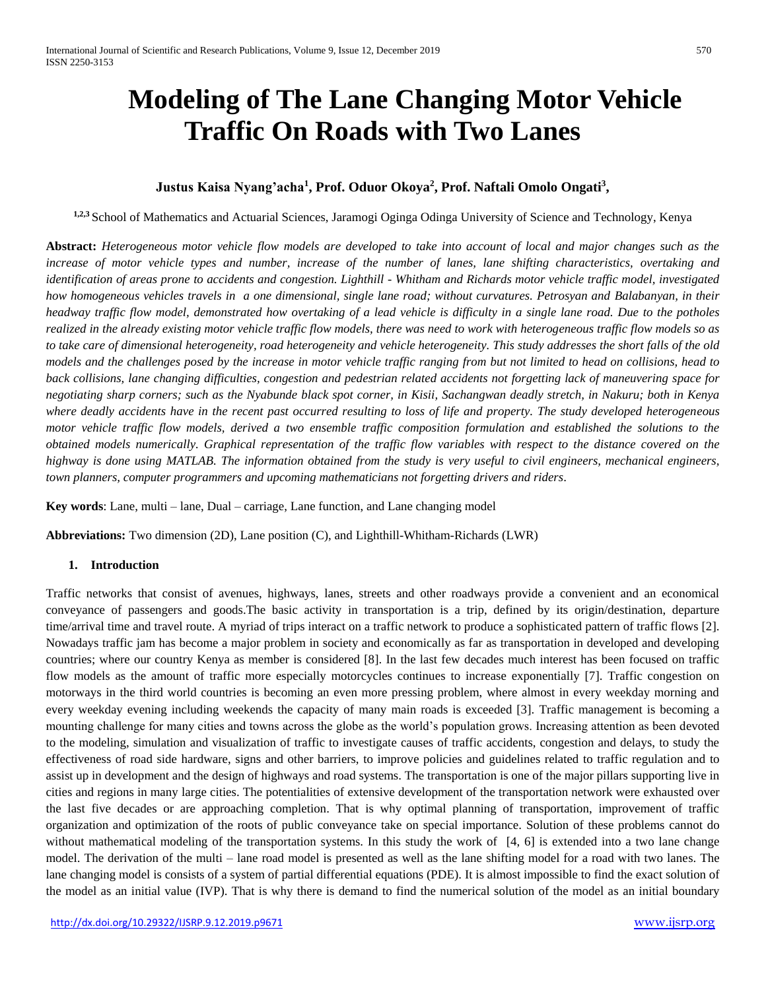# **Modeling of The Lane Changing Motor Vehicle Traffic On Roads with Two Lanes**

# **Justus Kaisa Nyang'acha<sup>1</sup> , Prof. Oduor Okoya<sup>2</sup> , Prof. Naftali Omolo Ongati<sup>3</sup> ,**

**1,2,3** School of Mathematics and Actuarial Sciences, Jaramogi Oginga Odinga University of Science and Technology, Kenya

**Abstract:** *Heterogeneous motor vehicle flow models are developed to take into account of local and major changes such as the increase of motor vehicle types and number, increase of the number of lanes, lane shifting characteristics, overtaking and identification of areas prone to accidents and congestion. Lighthill - Whitham and Richards motor vehicle traffic model, investigated how homogeneous vehicles travels in a one dimensional, single lane road; without curvatures. Petrosyan and Balabanyan, in their headway traffic flow model, demonstrated how overtaking of a lead vehicle is difficulty in a single lane road. Due to the potholes realized in the already existing motor vehicle traffic flow models, there was need to work with heterogeneous traffic flow models so as*  to take care of dimensional heterogeneity, road heterogeneity and vehicle heterogeneity. This study addresses the short falls of the old *models and the challenges posed by the increase in motor vehicle traffic ranging from but not limited to head on collisions, head to back collisions, lane changing difficulties, congestion and pedestrian related accidents not forgetting lack of maneuvering space for negotiating sharp corners; such as the Nyabunde black spot corner, in Kisii, Sachangwan deadly stretch, in Nakuru; both in Kenya where deadly accidents have in the recent past occurred resulting to loss of life and property. The study developed heterogeneous motor vehicle traffic flow models, derived a two ensemble traffic composition formulation and established the solutions to the obtained models numerically. Graphical representation of the traffic flow variables with respect to the distance covered on the* highway is done using MATLAB. The information obtained from the study is very useful to civil engineers, mechanical engineers, *town planners, computer programmers and upcoming mathematicians not forgetting drivers and riders*.

**Key words**: Lane, multi – lane, Dual – carriage, Lane function, and Lane changing model

**Abbreviations:** Two dimension (2D), Lane position (C), and Lighthill-Whitham-Richards (LWR)

## **1. Introduction**

Traffic networks that consist of avenues, highways, lanes, streets and other roadways provide a convenient and an economical conveyance of passengers and goods.The basic activity in transportation is a trip, defined by its origin/destination, departure time/arrival time and travel route. A myriad of trips interact on a traffic network to produce a sophisticated pattern of traffic flows [2]. Nowadays traffic jam has become a major problem in society and economically as far as transportation in developed and developing countries; where our country Kenya as member is considered [8]. In the last few decades much interest has been focused on traffic flow models as the amount of traffic more especially motorcycles continues to increase exponentially [7]. Traffic congestion on motorways in the third world countries is becoming an even more pressing problem, where almost in every weekday morning and every weekday evening including weekends the capacity of many main roads is exceeded [3]. Traffic management is becoming a mounting challenge for many cities and towns across the globe as the world's population grows. Increasing attention as been devoted to the modeling, simulation and visualization of traffic to investigate causes of traffic accidents, congestion and delays, to study the effectiveness of road side hardware, signs and other barriers, to improve policies and guidelines related to traffic regulation and to assist up in development and the design of highways and road systems. The transportation is one of the major pillars supporting live in cities and regions in many large cities. The potentialities of extensive development of the transportation network were exhausted over the last five decades or are approaching completion. That is why optimal planning of transportation, improvement of traffic organization and optimization of the roots of public conveyance take on special importance. Solution of these problems cannot do without mathematical modeling of the transportation systems. In this study the work of [4, 6] is extended into a two lane change model. The derivation of the multi – lane road model is presented as well as the lane shifting model for a road with two lanes. The lane changing model is consists of a system of partial differential equations (PDE). It is almost impossible to find the exact solution of the model as an initial value (IVP). That is why there is demand to find the numerical solution of the model as an initial boundary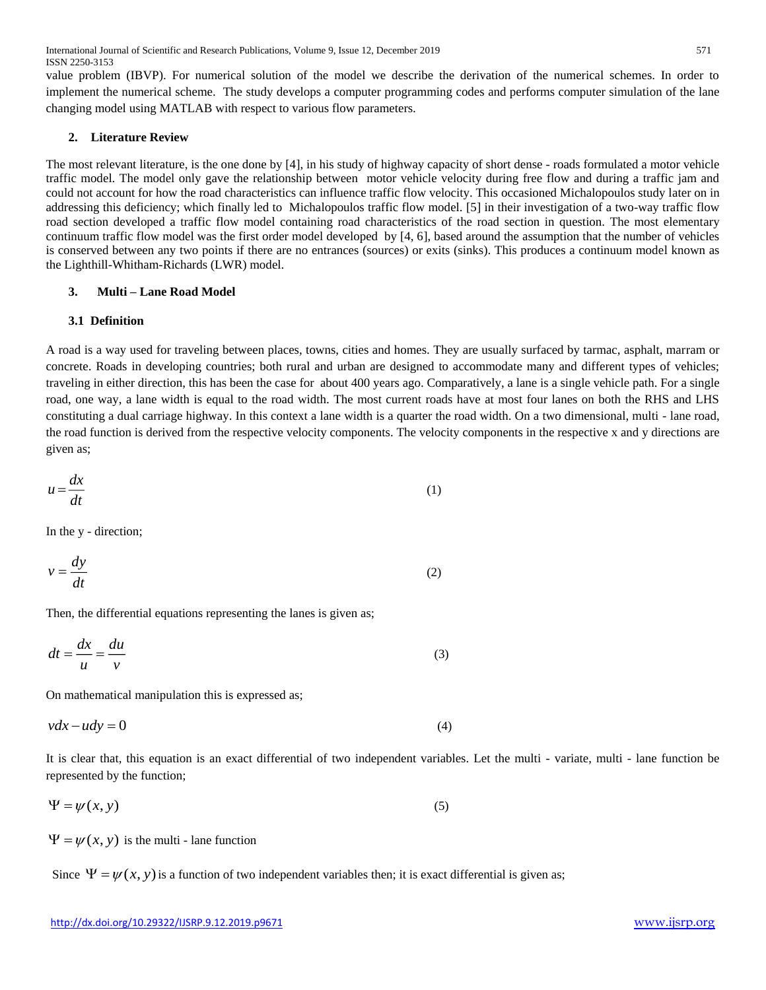International Journal of Scientific and Research Publications, Volume 9, Issue 12, December 2019 571 ISSN 2250-3153

value problem (IBVP). For numerical solution of the model we describe the derivation of the numerical schemes. In order to implement the numerical scheme. The study develops a computer programming codes and performs computer simulation of the lane changing model using MATLAB with respect to various flow parameters.

#### **2. Literature Review**

The most relevant literature, is the one done by [4], in his study of highway capacity of short dense - roads formulated a motor vehicle traffic model. The model only gave the relationship between motor vehicle velocity during free flow and during a traffic jam and could not account for how the road characteristics can influence traffic flow velocity. This occasioned Michalopoulos study later on in addressing this deficiency; which finally led to Michalopoulos traffic flow model. [5] in their investigation of a two-way traffic flow road section developed a traffic flow model containing road characteristics of the road section in question. The most elementary continuum traffic flow model was the first order model developed by [4, 6], based around the assumption that the number of vehicles is conserved between any two points if there are no entrances (sources) or exits (sinks). This produces a continuum model known as the Lighthill-Whitham-Richards (LWR) model.

#### **3. Multi – Lane Road Model**

#### **3.1 Definition**

A road is a way used for traveling between places, towns, cities and homes. They are usually surfaced by tarmac, asphalt, marram or concrete. Roads in developing countries; both rural and urban are designed to accommodate many and different types of vehicles; traveling in either direction, this has been the case for about 400 years ago. Comparatively, a lane is a single vehicle path. For a single road, one way, a lane width is equal to the road width. The most current roads have at most four lanes on both the RHS and LHS constituting a dual carriage highway. In this context a lane width is a quarter the road width. On a two dimensional, multi - lane road, the road function is derived from the respective velocity components. The velocity components in the respective x and y directions are given as;

$$
u = \frac{dx}{dt} \tag{1}
$$

In the y - direction;

$$
v = \frac{dy}{dt} \tag{2}
$$

Then, the differential equations representing the lanes is given as;

$$
dt = \frac{dx}{u} = \frac{du}{v}
$$
 (3)

On mathematical manipulation this is expressed as;

$$
vdx - udy = 0 \tag{4}
$$

It is clear that, this equation is an exact differential of two independent variables. Let the multi - variate, multi - lane function be represented by the function;

$$
\Psi = \psi(x, y) \tag{5}
$$

 $\Psi = \psi(x, y)$  is the multi - lane function

Since  $\Psi = \psi(x, y)$  is a function of two independent variables then; it is exact differential is given as;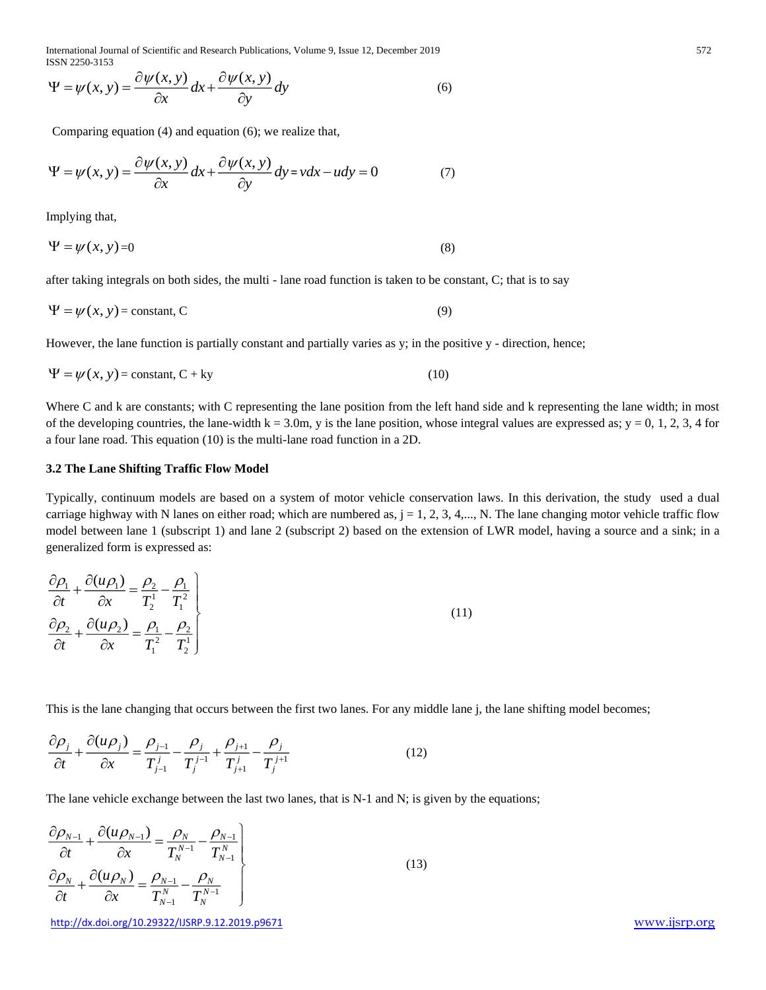International Journal of Scientific and Research Publications, Volume 9, Issue 12, December 2019 572 ISSN 2250-3153

$$
\Psi = \psi(x, y) = \frac{\partial \psi(x, y)}{\partial x} dx + \frac{\partial \psi(x, y)}{\partial y} dy
$$
\n(6)

Comparing equation (4) and equation (6); we realize that,

$$
\Psi = \psi(x, y) = \frac{\partial \psi(x, y)}{\partial x} dx + \frac{\partial \psi(x, y)}{\partial y} dy = v dx - u dy = 0
$$
\n(7)

Implying that,

$$
\Psi = \psi(x, y) = 0 \tag{8}
$$

after taking integrals on both sides, the multi - lane road function is taken to be constant, C; that is to say

$$
\Psi = \psi(x, y) = \text{constant}, C \tag{9}
$$

However, the lane function is partially constant and partially varies as y; in the positive y - direction, hence;

$$
\Psi = \psi(x, y) = \text{constant}, C + \text{ky} \tag{10}
$$

Where C and k are constants; with C representing the lane position from the left hand side and k representing the lane width; in most of the developing countries, the lane-width  $k = 3.0m$ , y is the lane position, whose integral values are expressed as; y = 0, 1, 2, 3, 4 for a four lane road. This equation (10) is the multi-lane road function in a 2D.

#### **3.2 The Lane Shifting Traffic Flow Model**

 $\mu = \psi(x, y) = \frac{\partial \psi(x, y)}{\partial x} \frac{\partial \psi(x, y)}{\partial y} dy$  (so<br>
Computing continues an and equation (s), we exaited and,<br>  $\nu = \psi(x, y) = \frac{\partial \psi(x, y)}{\partial x} dx + \frac{\partial \psi(x, y)}{\partial y} dx = \nu dx = \nu dx = 0$  (7)<br>
employing that<br>  $\Psi = \psi(x, y) = 0$ <br>  $\Psi = \psi(x, y) = 0$ <br>  $\Psi = \psi(x,$ Typically, continuum models are based on a system of motor vehicle conservation laws. In this derivation, the study used a dual carriage highway with N lanes on either road; which are numbered as,  $j = 1, 2, 3, 4, \dots$ , N. The lane changing motor vehicle traffic flow model between lane 1 (subscript 1) and lane 2 (subscript 2) based on the extension of LWR model, having a source and a sink; in a generalized form is expressed as:

$$
\frac{\partial \rho_1}{\partial t} + \frac{\partial (u \rho_1)}{\partial x} = \frac{\rho_2}{T_2^1} - \frac{\rho_1}{T_1^2}
$$
\n
$$
\frac{\partial \rho_2}{\partial t} + \frac{\partial (u \rho_2)}{\partial x} = \frac{\rho_1}{T_1^2} - \frac{\rho_2}{T_1^2}
$$
\n(11)

This is the lane changing that occurs between the first two lanes. For any middle lane j, the lane shifting model becomes;

$$
\frac{\partial \rho_j}{\partial t} + \frac{\partial (u \rho_j)}{\partial x} = \frac{\rho_{j-1}}{T_{j-1}^j} - \frac{\rho_j}{T_j^{j-1}} + \frac{\rho_{j+1}}{T_{j+1}^j} - \frac{\rho_j}{T_j^{j+1}}
$$
(12)

The lane vehicle exchange between the last two lanes, that is N-1 and N; is given by the equations;

$$
\frac{\partial \rho_{N-1}}{\partial t} + \frac{\partial (u \rho_{N-1})}{\partial x} = \frac{\rho_N}{T_N^{N-1}} - \frac{\rho_{N-1}}{T_N^N}
$$
\n
$$
\frac{\partial \rho_N}{\partial t} + \frac{\partial (u \rho_N)}{\partial x} = \frac{\rho_{N-1}}{T_{N-1}^N} - \frac{\rho_N}{T_N^{N-1}}
$$
\n(13)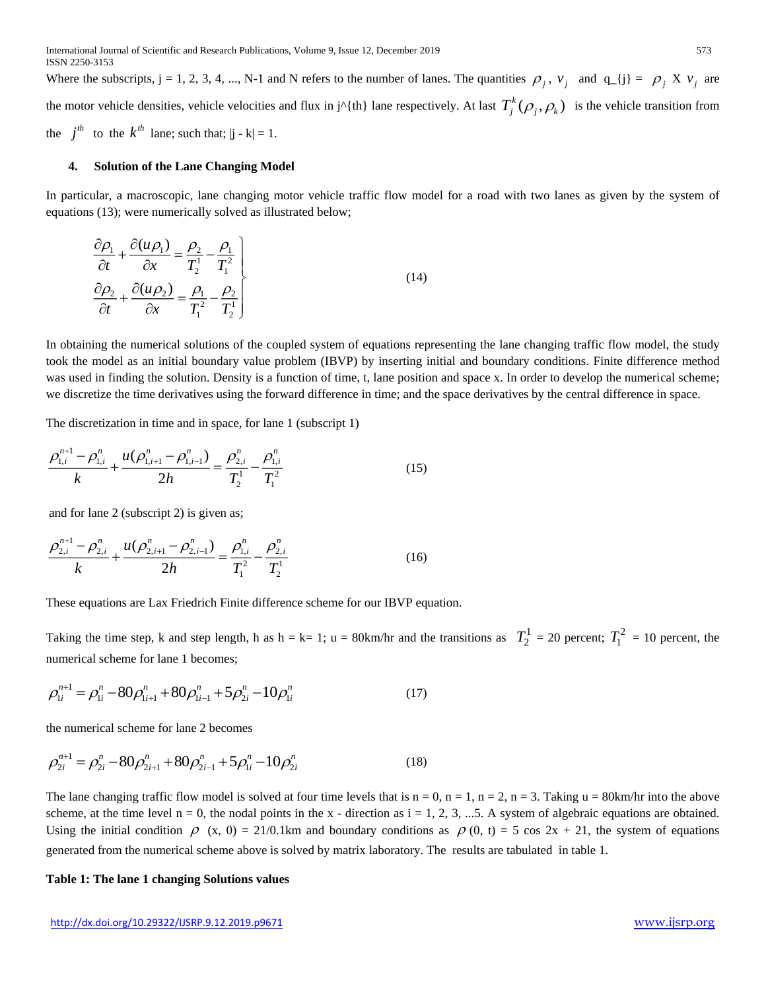Where the subscripts,  $j = 1, 2, 3, 4, ..., N-1$  and N refers to the number of lanes. The quantities  $\rho_j$ ,  $v_j$  and  $q_{j} = \rho_j X v_j$  are the motor vehicle densities, vehicle velocities and flux in j<sup>^{</sup>{th} lane respectively. At last  $T_j^k(\rho_j, \rho_k)$  is the vehicle transition from the  $j^{th}$  to the  $k^{th}$  lane; such that;  $|j - k| = 1$ .

#### **4. Solution of the Lane Changing Model**

In particular, a macroscopic, lane changing motor vehicle traffic flow model for a road with two lanes as given by the system of equations (13); were numerically solved as illustrated below;

$$
\frac{\partial \rho_1}{\partial t} + \frac{\partial (u \rho_1)}{\partial x} = \frac{\rho_2}{T_2^1} - \frac{\rho_1}{T_1^2}
$$
\n
$$
\frac{\partial \rho_2}{\partial t} + \frac{\partial (u \rho_2)}{\partial x} = \frac{\rho_1}{T_1^2} - \frac{\rho_2}{T_2^1}
$$
\n(14)

In obtaining the numerical solutions of the coupled system of equations representing the lane changing traffic flow model, the study took the model as an initial boundary value problem (IBVP) by inserting initial and boundary conditions. Finite difference method was used in finding the solution. Density is a function of time, t, lane position and space x. In order to develop the numerical scheme; we discretize the time derivatives using the forward difference in time; and the space derivatives by the central difference in space.

The discretization in time and in space, for lane 1 (subscript 1)

$$
\frac{\rho_{1,i}^{n+1} - \rho_{1,i}^n}{k} + \frac{u(\rho_{1,i+1}^n - \rho_{1,i-1}^n)}{2h} = \frac{\rho_{2,i}^n}{T_2^1} - \frac{\rho_{1,i}^n}{T_1^2}
$$
(15)

and for lane 2 (subscript 2) is given as;

$$
\frac{\rho_{2,i}^{n+1} - \rho_{2,i}^n}{k} + \frac{u(\rho_{2,i+1}^n - \rho_{2,i-1}^n)}{2h} = \frac{\rho_{1,i}^n}{T_1^2} - \frac{\rho_{2,i}^n}{T_2^1}
$$
(16)

These equations are Lax Friedrich Finite difference scheme for our IBVP equation.

Taking the time step, k and step length, h as  $h = k = 1$ ;  $u = 80$ km/hr and the transitions as  $T_2^1 = 20$  percent;  $T_1^2 = 10$  percent, the numerical scheme for lane 1 becomes;

$$
\rho_{1i}^{n+1} = \rho_{1i}^{n} - 80\rho_{1i+1}^{n} + 80\rho_{1i-1}^{n} + 5\rho_{2i}^{n} - 10\rho_{1i}^{n}
$$
\n(17)

the numerical scheme for lane 2 becomes

$$
\rho_{2i}^{n+1} = \rho_{2i}^n - 80\rho_{2i+1}^n + 80\rho_{2i-1}^n + 5\rho_{1i}^n - 10\rho_{2i}^n \tag{18}
$$

The lane changing traffic flow model is solved at four time levels that is  $n = 0$ ,  $n = 1$ ,  $n = 2$ ,  $n = 3$ . Taking  $u = 80$ km/hr into the above scheme, at the time level  $n = 0$ , the nodal points in the x - direction as  $i = 1, 2, 3, ...$ 5. A system of algebraic equations are obtained. Using the initial condition  $\rho$  (x, 0) = 21/0.1km and boundary conditions as  $\rho$  (0, t) = 5 cos 2x + 21, the system of equations generated from the numerical scheme above is solved by matrix laboratory. The results are tabulated in table 1.

#### **Table 1: The lane 1 changing Solutions values**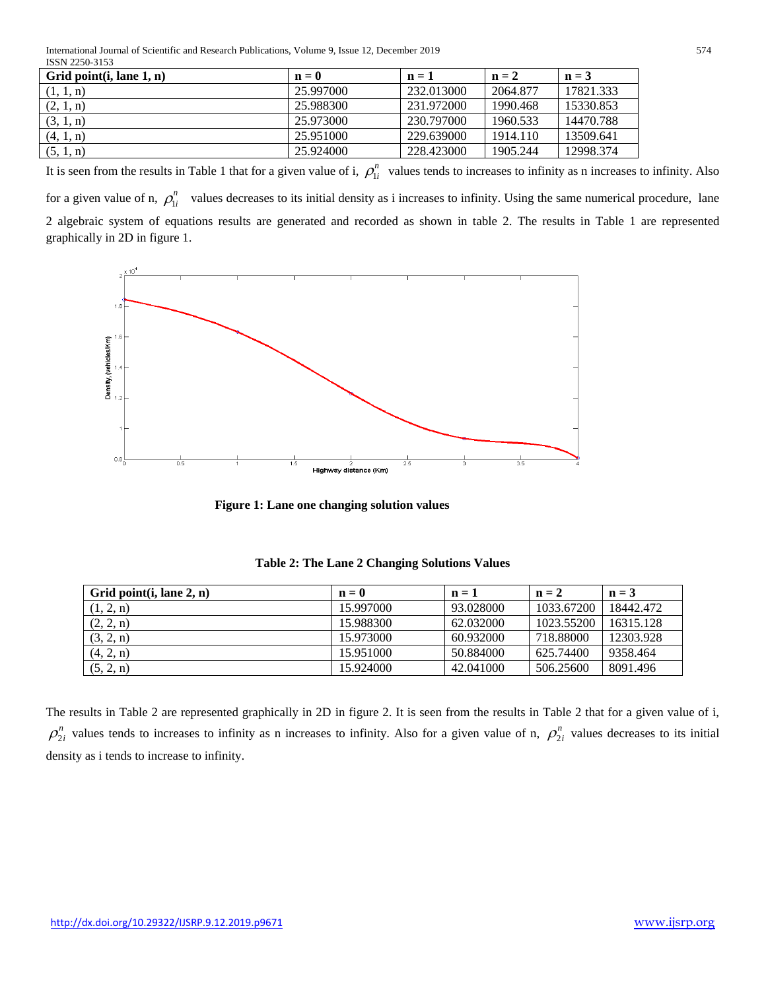International Journal of Scientific and Research Publications, Volume 9, Issue 12, December 2019 574 ISSN 2250-3153

| Grid point $(i,$ lane $1, n)$ | $\mathbf{n} = \mathbf{0}$ | $n=1$      | $n = 2$  | $n = 3$   |
|-------------------------------|---------------------------|------------|----------|-----------|
| (1, 1, n)                     | 25.997000                 | 232.013000 | 2064.877 | 17821.333 |
| (2, 1, n)                     | 25.988300                 | 231.972000 | 1990.468 | 15330.853 |
| (3, 1, n)                     | 25.973000                 | 230.797000 | 1960.533 | 14470.788 |
| (4, 1, n)                     | 25.951000                 | 229.639000 | 1914.110 | 13509.641 |
| (5, 1, n)                     | 25.924000                 | 228.423000 | 1905.244 | 12998.374 |

It is seen from the results in Table 1 that for a given value of i,  $\rho_{1i}^n$  values tends to increases to infinity as n increases to infinity. Also for a given value of n,  $\rho_{1i}^n$  values decreases to its initial density as i increases to infinity. Using the same numerical procedure, lane 2 algebraic system of equations results are generated and recorded as shown in table 2. The results in Table 1 are represented graphically in 2D in figure 1.



 **Figure 1: Lane one changing solution values**

| Grid point $(i, \text{lane } 2, n)$ | $\mathbf{n} = \mathbf{0}$ | $n=1$     | $n = 2$    | $n = 3$   |
|-------------------------------------|---------------------------|-----------|------------|-----------|
| (1, 2, n)                           | 15.997000                 | 93.028000 | 1033.67200 | 18442.472 |
| (2, 2, n)                           | 15.988300                 | 62.032000 | 1023.55200 | 16315.128 |
| (3, 2, n)                           | 15.973000                 | 60.932000 | 718.88000  | 12303.928 |
| (4, 2, n)                           | 15.951000                 | 50.884000 | 625.74400  | 9358.464  |
| (5, 2, n)                           | 15.924000                 | 42.041000 | 506.25600  | 8091.496  |

**Table 2: The Lane 2 Changing Solutions Values**

The results in Table 2 are represented graphically in 2D in figure 2. It is seen from the results in Table 2 that for a given value of i,  $\rho_{2i}^{n}$  values tends to increases to infinity as n increases to infinity. Also for a given value of n,  $\rho_{2i}^{n}$  values decreases to its initial density as i tends to increase to infinity.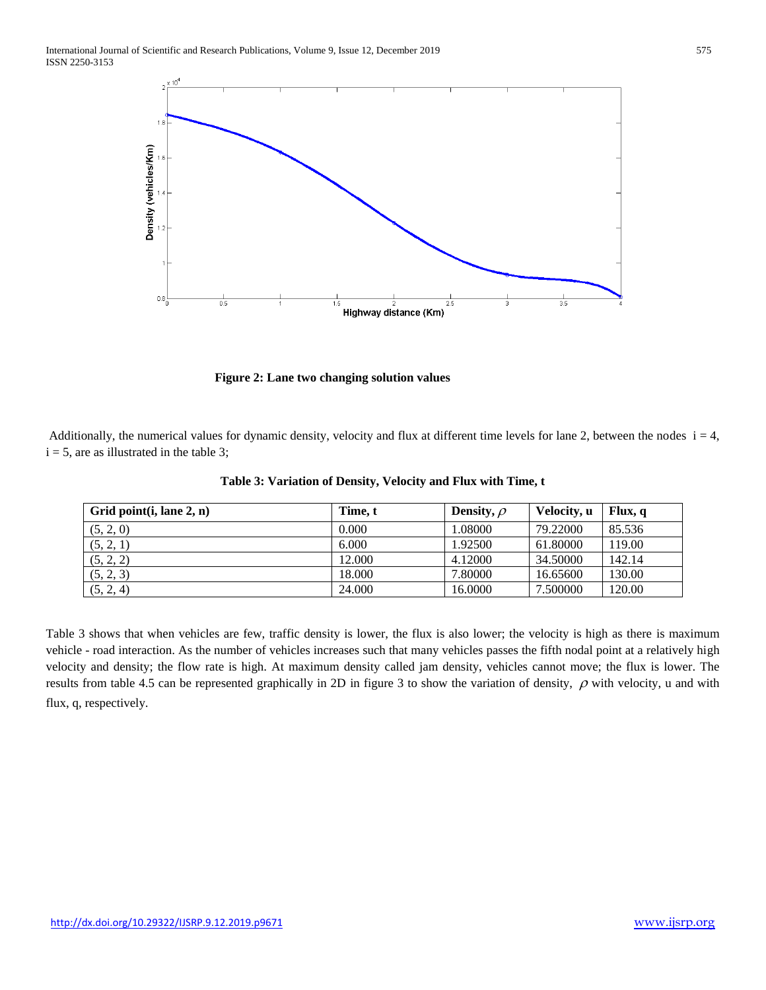

 **Figure 2: Lane two changing solution values**

Additionally, the numerical values for dynamic density, velocity and flux at different time levels for lane 2, between the nodes  $i = 4$ ,  $i = 5$ , are as illustrated in the table 3;

| Grid point $(i, \text{lane } 2, n)$ | Time, t | Density, $\rho$ | Velocity, u | Flux, q |
|-------------------------------------|---------|-----------------|-------------|---------|
| (5, 2, 0)                           | 0.000   | 1.08000         | 79.22000    | 85.536  |
| (5, 2, 1)                           | 6.000   | 1.92500         | 61.80000    | 119.00  |
| (5, 2, 2)                           | 12.000  | 4.12000         | 34.50000    | 142.14  |
| (5, 2, 3)                           | 18.000  | 7.80000         | 16.65600    | 130.00  |
| (5, 2, 4)                           | 24.000  | 16.0000         | 7.500000    | 120.00  |

**Table 3: Variation of Density, Velocity and Flux with Time, t**

Table 3 shows that when vehicles are few, traffic density is lower, the flux is also lower; the velocity is high as there is maximum vehicle - road interaction. As the number of vehicles increases such that many vehicles passes the fifth nodal point at a relatively high velocity and density; the flow rate is high. At maximum density called jam density, vehicles cannot move; the flux is lower. The results from table 4.5 can be represented graphically in 2D in figure 3 to show the variation of density,  $\rho$  with velocity, u and with flux, q, respectively.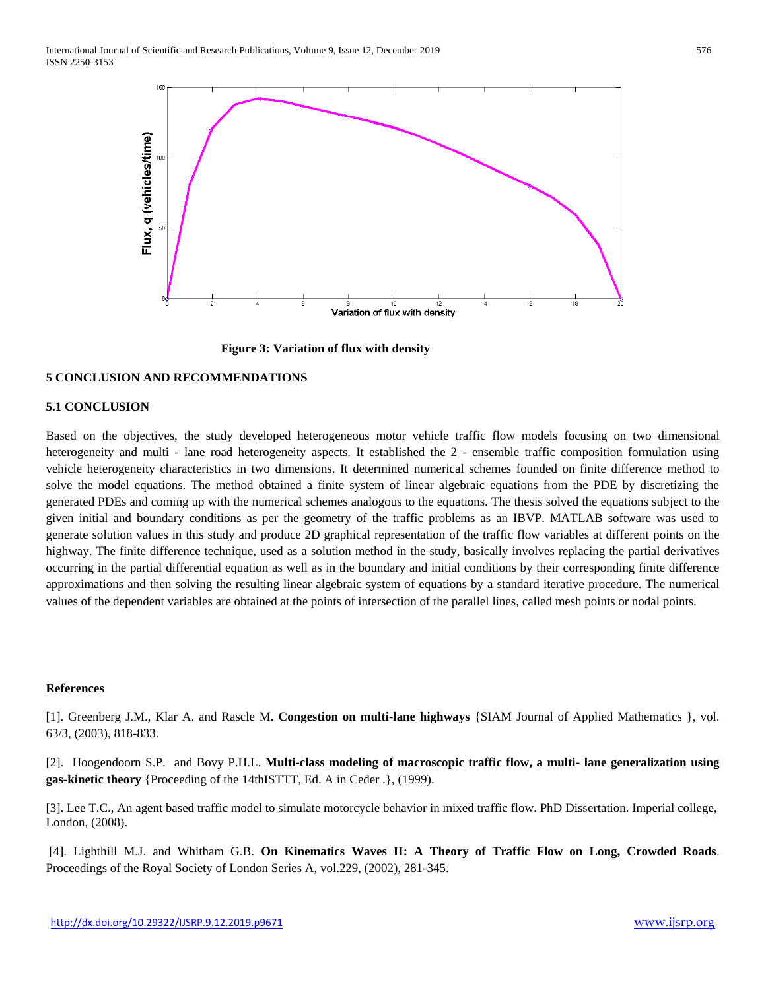

 **Figure 3: Variation of flux with density**

## **5 CONCLUSION AND RECOMMENDATIONS**

# **5.1 CONCLUSION**

Based on the objectives, the study developed heterogeneous motor vehicle traffic flow models focusing on two dimensional heterogeneity and multi - lane road heterogeneity aspects. It established the 2 - ensemble traffic composition formulation using vehicle heterogeneity characteristics in two dimensions. It determined numerical schemes founded on finite difference method to solve the model equations. The method obtained a finite system of linear algebraic equations from the PDE by discretizing the generated PDEs and coming up with the numerical schemes analogous to the equations. The thesis solved the equations subject to the given initial and boundary conditions as per the geometry of the traffic problems as an IBVP. MATLAB software was used to generate solution values in this study and produce 2D graphical representation of the traffic flow variables at different points on the highway. The finite difference technique, used as a solution method in the study, basically involves replacing the partial derivatives occurring in the partial differential equation as well as in the boundary and initial conditions by their corresponding finite difference approximations and then solving the resulting linear algebraic system of equations by a standard iterative procedure. The numerical values of the dependent variables are obtained at the points of intersection of the parallel lines, called mesh points or nodal points.

#### **References**

[1]. Greenberg J.M., Klar A. and Rascle M**. Congestion on multi-lane highways** {SIAM Journal of Applied Mathematics }, vol. 63/3, (2003), 818-833.

[2]. Hoogendoorn S.P. and Bovy P.H.L. **Multi-class modeling of macroscopic traffic flow, a multi- lane generalization using gas-kinetic theory** {Proceeding of the 14thISTTT, Ed. A in Ceder .}, (1999).

[3]. Lee T.C., An agent based traffic model to simulate motorcycle behavior in mixed traffic flow. PhD Dissertation. Imperial college, London, (2008).

[4]. Lighthill M.J. and Whitham G.B. **On Kinematics Waves II: A Theory of Traffic Flow on Long, Crowded Roads**. Proceedings of the Royal Society of London Series A, vol.229, (2002), 281-345.